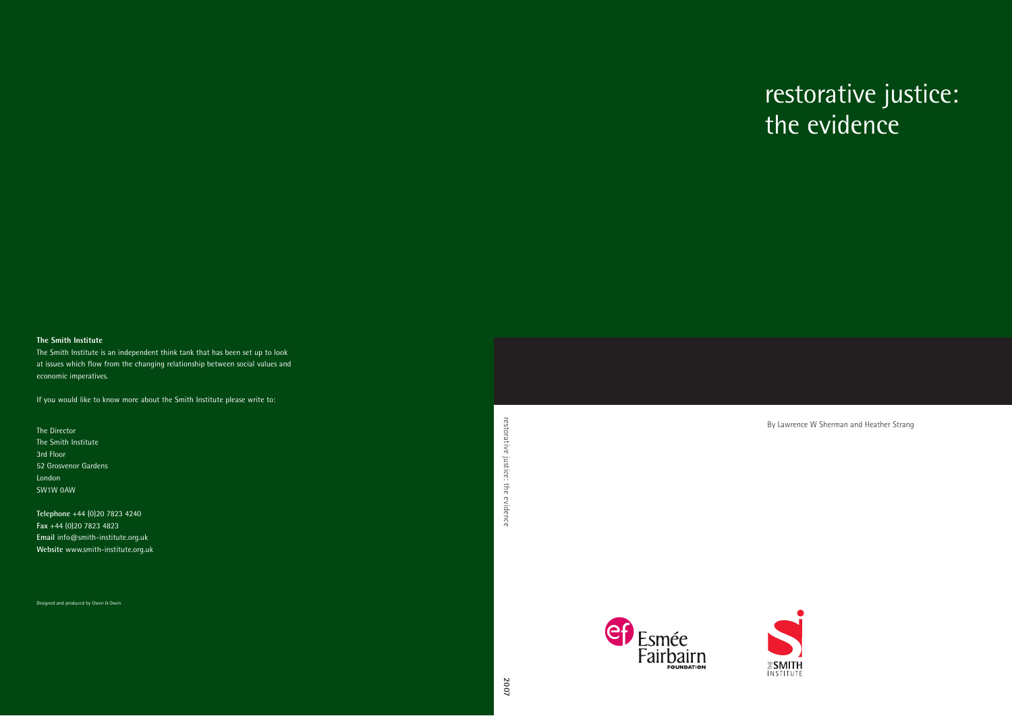## **The Smith Institute**

The Smith Institute is an independent think tank that has been set up to look at issues which flow from the changing relationship between social values and economic imperatives.

If you would like to know more about the Smith Institute please write to:

The Director The Smith Institute 3rd Floor 52 Grosvenor Gardens London SW1W 0AW

restorative justice: the evidence **2007** restorative justice: the evidence



**Telephone** +44 (0)20 7823 4240 **Fax** +44 (0)20 7823 4823 **Email** info@smith-institute.org.uk **Website** www.smith-institute.org.uk

Designed and produced by Owen & Owen

By Lawrence W Sherman and Heather Strang



# restorative justice: the evidence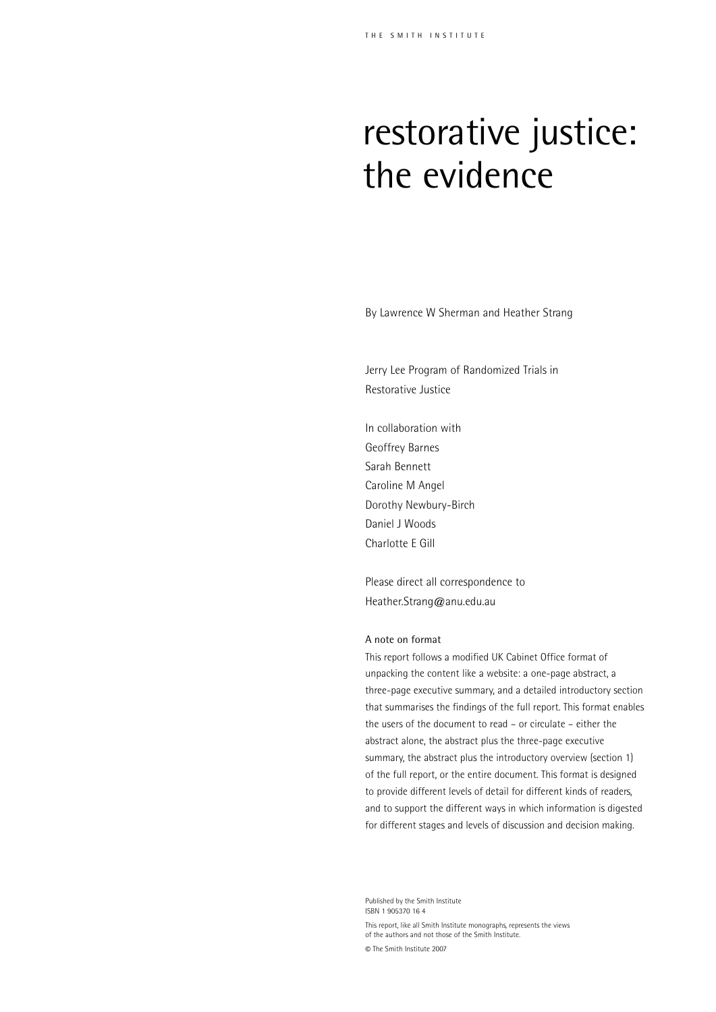# restorative justice: the evidence

By Lawrence W Sherman and Heather Strang

Jerry Lee Program of Randomized Trials in Restorative Justice

In collaboration with Geoffrey Barnes Sarah Bennett Caroline M Angel Dorothy Newbury-Birch Daniel J Woods Charlotte E Gill

Please direct all correspondence to Heather.Strang@anu.edu.au

#### A note on format

This report follows a modified UK Cabinet Office format of unpacking the content like a website: a one-page abstract, a three-page executive summary, and a detailed introductory section that summarises the findings of the full report. This format enables the users of the document to read – or circulate – either the abstract alone, the abstract plus the three-page executive summary, the abstract plus the introductory overview (section 1) of the full report, or the entire document. This format is designed to provide different levels of detail for different kinds of readers, and to support the different ways in which information is digested for different stages and levels of discussion and decision making.

Published by the Smith Institute ISBN 1 905370 16 4 This report, like all Smith Institute monographs, represents the views of the authors and not those of the Smith Institute.

© The Smith Institute 2007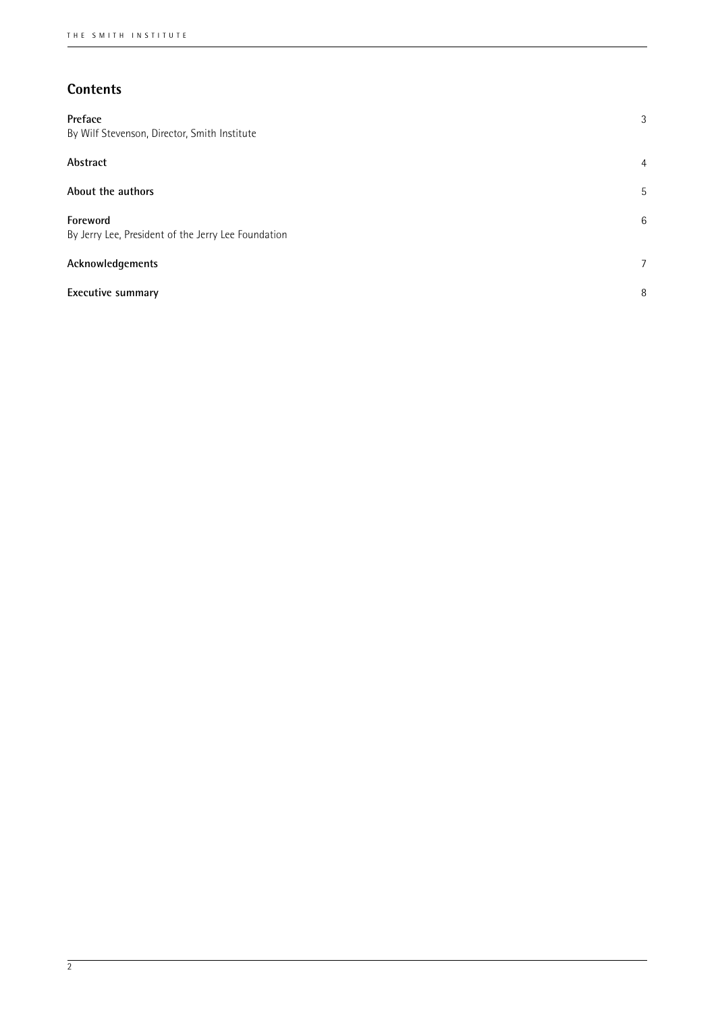# **Contents**

| Preface<br>By Wilf Stevenson, Director, Smith Institute         | 3              |
|-----------------------------------------------------------------|----------------|
| Abstract                                                        | $\overline{4}$ |
| About the authors                                               | 5              |
| Foreword<br>By Jerry Lee, President of the Jerry Lee Foundation | 6              |
| Acknowledgements                                                | $\overline{7}$ |
| Executive summary                                               | 8              |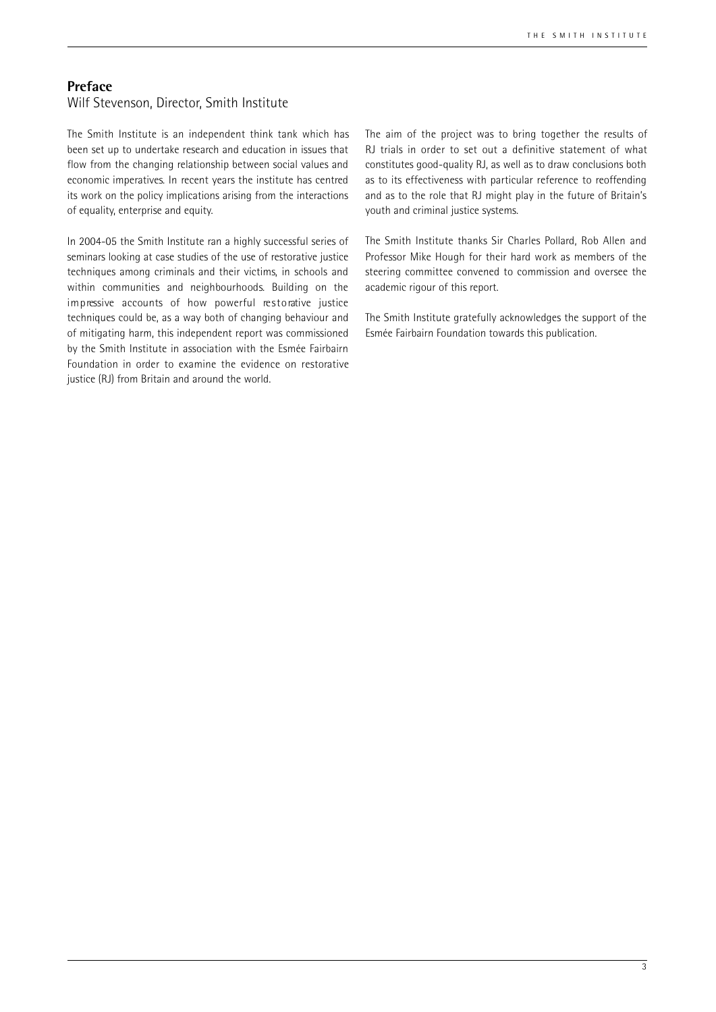## **Preface**

## Wilf Stevenson, Director, Smith Institute

The Smith Institute is an independent think tank which has been set up to undertake research and education in issues that flow from the changing relationship between social values and economic imperatives. In recent years the institute has centred its work on the policy implications arising from the interactions of equality, enterprise and equity.

In 2004-05 the Smith Institute ran a highly successful series of seminars looking at case studies of the use of restorative justice techniques among criminals and their victims, in schools and within communities and neighbourhoods. Building on the impressive accounts of how powerful restorative justice techniques could be, as a way both of changing behaviour and of mitigating harm, this independent report was commissioned by the Smith Institute in association with the Esmée Fairbairn Foundation in order to examine the evidence on restorative justice (RJ) from Britain and around the world.

The aim of the project was to bring together the results of RJ trials in order to set out a definitive statement of what constitutes good-quality RJ, as well as to draw conclusions both as to its effectiveness with particular reference to reoffending and as to the role that RJ might play in the future of Britain's youth and criminal justice systems.

The Smith Institute thanks Sir Charles Pollard, Rob Allen and Professor Mike Hough for their hard work as members of the steering committee convened to commission and oversee the academic rigour of this report.

The Smith Institute gratefully acknowledges the support of the Esmée Fairbairn Foundation towards this publication.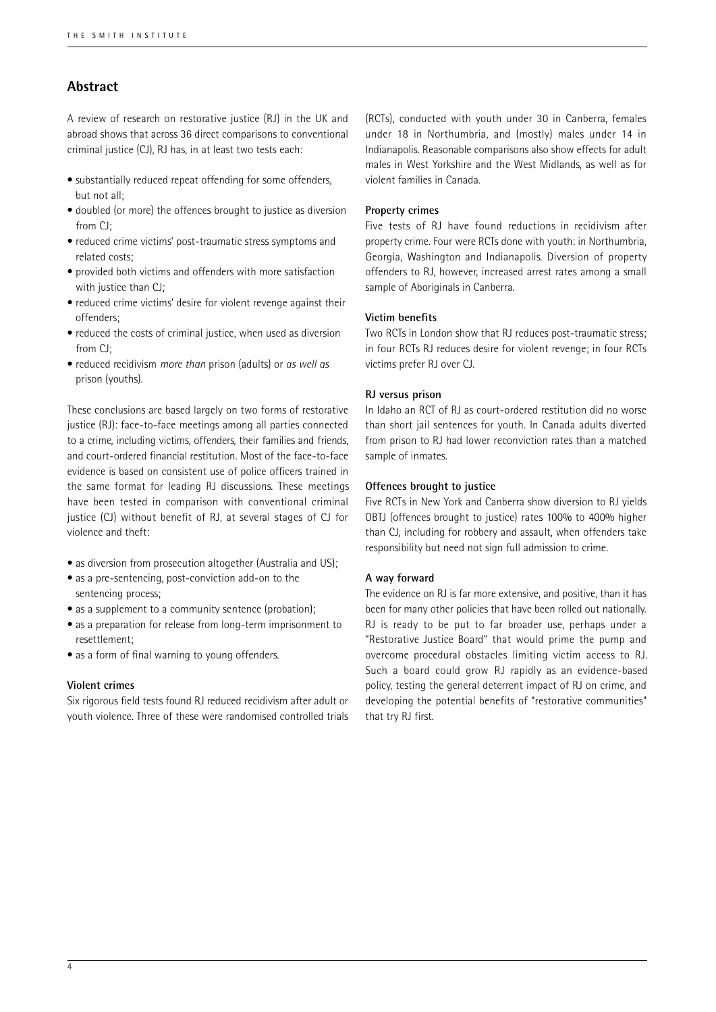# **Abstract**

A review of research on restorative justice (RJ) in the UK and abroad shows that across 36 direct comparisons to conventional criminal justice (CJ), RJ has, in at least two tests each:

- substantially reduced repeat offending for some offenders, but not all;
- doubled (or more) the offences brought to justice as diversion from  $\bigcap$
- reduced crime victims' post-traumatic stress symptoms and related costs;
- provided both victims and offenders with more satisfaction with justice than CJ;
- reduced crime victims' desire for violent revenge against their offenders;
- reduced the costs of criminal justice, when used as diversion from CJ;
- reduced recidivism *more than* prison (adults) or *as well as* prison (youths).

These conclusions are based largely on two forms of restorative justice (RJ): face-to-face meetings among all parties connected to a crime, including victims, offenders, their families and friends, and court-ordered financial restitution. Most of the face-to-face evidence is based on consistent use of police officers trained in the same format for leading RJ discussions. These meetings have been tested in comparison with conventional criminal justice (CJ) without benefit of RJ, at several stages of CJ for violence and theft:

- as diversion from prosecution altogether (Australia and US);
- as a pre-sentencing, post-conviction add-on to the sentencing process;
- as a supplement to a community sentence (probation);
- as a preparation for release from long-term imprisonment to resettlement;
- as a form of final warning to young offenders.

### **Violent crimes**

Six rigorous field tests found RJ reduced recidivism after adult or youth violence. Three of these were randomised controlled trials (RCTs), conducted with youth under 30 in Canberra, females under 18 in Northumbria, and (mostly) males under 14 in Indianapolis. Reasonable comparisons also show effects for adult males in West Yorkshire and the West Midlands, as well as for violent families in Canada.

## **Property crimes**

Five tests of RJ have found reductions in recidivism after property crime. Four were RCTs done with youth: in Northumbria, Georgia, Washington and Indianapolis. Diversion of property offenders to RJ, however, increased arrest rates among a small sample of Aboriginals in Canberra.

## **Victim benefits**

Two RCTs in London show that RJ reduces post-traumatic stress; in four RCTs RJ reduces desire for violent revenge; in four RCTs victims prefer RJ over CJ.

## **RJ versus prison**

In Idaho an RCT of RJ as court-ordered restitution did no worse than short jail sentences for youth. In Canada adults diverted from prison to RJ had lower reconviction rates than a matched sample of inmates.

## **Offences brought to justice**

Five RCTs in New York and Canberra show diversion to RJ yields OBTJ (offences brought to justice) rates 100% to 400% higher than CJ, including for robbery and assault, when offenders take responsibility but need not sign full admission to crime.

#### **A way forward**

The evidence on RJ is far more extensive, and positive, than it has been for many other policies that have been rolled out nationally. RJ is ready to be put to far broader use, perhaps under a "Restorative Justice Board" that would prime the pump and overcome procedural obstacles limiting victim access to RJ. Such a board could grow RJ rapidly as an evidence-based policy, testing the general deterrent impact of RJ on crime, and developing the potential benefits of "restorative communities" that try RJ first.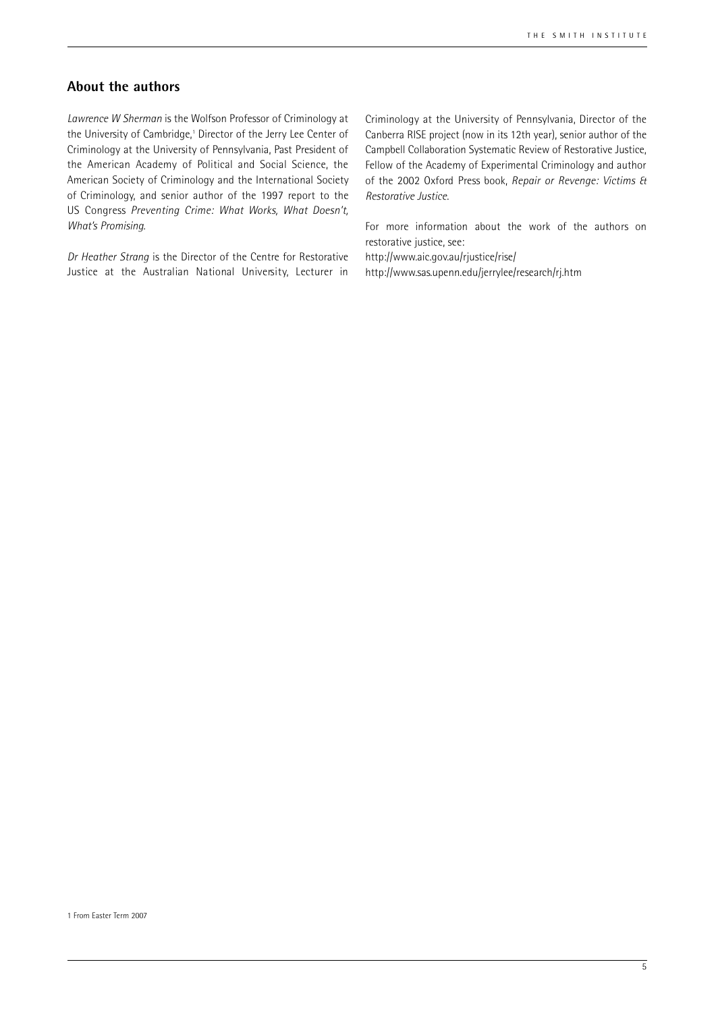## **About the authors**

*Lawrence W Sherman* is the Wolfson Professor of Criminology at the University of Cambridge,<sup>1</sup> Director of the Jerry Lee Center of Criminology at the University of Pennsylvania, Past President of the American Academy of Political and Social Science, the American Society of Criminology and the International Society of Criminology, and senior author of the 1997 report to the US Congress *Preventing Crime: What Works, What Doesn't, What's Promising.*

*Dr Heather Strang* is the Director of the Centre for Restorative Justice at the Australian National University, Lecturer in Criminology at the University of Pennsylvania, Director of the Canberra RISE project (now in its 12th year), senior author of the Campbell Collaboration Systematic Review of Restorative Justice, Fellow of the Academy of Experimental Criminology and author of the 2002 Oxford Press book, *Repair or Revenge: Victims & Restorative Justice*.

For more information about the work of the authors on restorative justice, see:

http://www.aic.gov.au/rjustice/rise/ http://www.sas.upenn.edu/jerrylee/research/rj.htm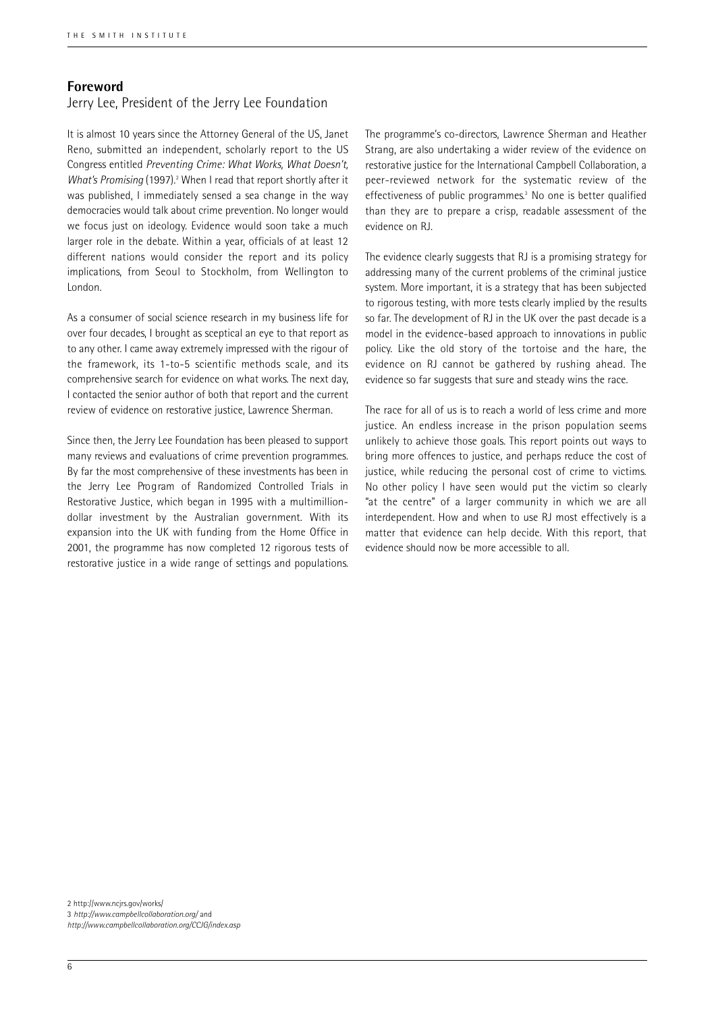## **Foreword**

## Jerry Lee, President of the Jerry Lee Foundation

It is almost 10 years since the Attorney General of the US, Janet Reno, submitted an independent, scholarly report to the US Congress entitled *Preventing Crime: What Works, What Doesn't, What's Promising* (1997).<sup>2</sup> When I read that report shortly after it was published, I immediately sensed a sea change in the way democracies would talk about crime prevention. No longer would we focus just on ideology. Evidence would soon take a much larger role in the debate. Within a year, officials of at least 12 different nations would consider the report and its policy implications, from Seoul to Stockholm, from Wellington to London.

As a consumer of social science research in my business life for over four decades, I brought as sceptical an eye to that report as to any other. I came away extremely impressed with the rigour of the framework, its 1-to-5 scientific methods scale, and its comprehensive search for evidence on what works. The next day, I contacted the senior author of both that report and the current review of evidence on restorative justice, Lawrence Sherman.

Since then, the Jerry Lee Foundation has been pleased to support many reviews and evaluations of crime prevention programmes. By far the most comprehensive of these investments has been in the Jerry Lee Program of Randomized Controlled Trials in Restorative Justice, which began in 1995 with a multimilliondollar investment by the Australian government. With its expansion into the UK with funding from the Home Office in 2001, the programme has now completed 12 rigorous tests of restorative justice in a wide range of settings and populations.

The programme's co-directors, Lawrence Sherman and Heather Strang, are also undertaking a wider review of the evidence on restorative justice for the International Campbell Collaboration, a peer-reviewed network for the systematic review of the effectiveness of public programmes. <sup>3</sup> No one is better qualified than they are to prepare a crisp, readable assessment of the evidence on RJ.

The evidence clearly suggests that RJ is a promising strategy for addressing many of the current problems of the criminal justice system. More important, it is a strategy that has been subjected to rigorous testing, with more tests clearly implied by the results so far. The development of RJ in the UK over the past decade is a model in the evidence-based approach to innovations in public policy. Like the old story of the tortoise and the hare, the evidence on RJ cannot be gathered by rushing ahead. The evidence so far suggests that sure and steady wins the race.

The race for all of us is to reach a world of less crime and more justice. An endless increase in the prison population seems unlikely to achieve those goals. This report points out ways to bring more offences to justice, and perhaps reduce the cost of justice, while reducing the personal cost of crime to victims. No other policy I have seen would put the victim so clearly "at the centre" of a larger community in which we are all interdependent. How and when to use RJ most effectively is a matter that evidence can help decide. With this report, that evidence should now be more accessible to all.

2 http://www.ncjrs.gov/works/ 3 *http://www.campbellcollaboration.org/* and *http://www.campbellcollaboration.org/CCJG/index.asp*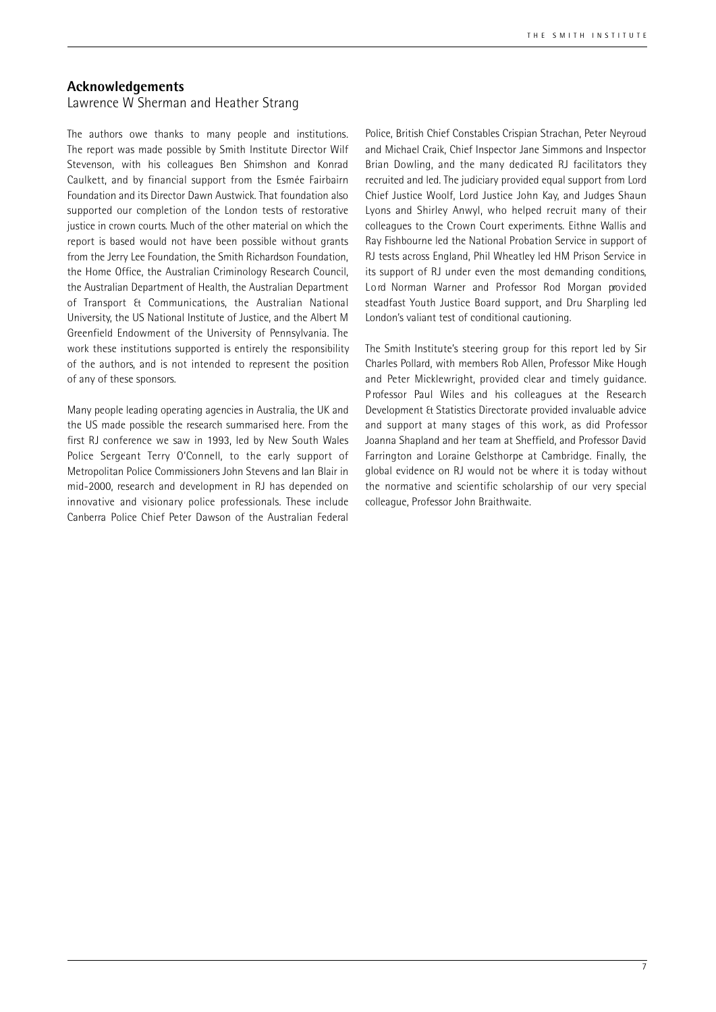## **Acknowledgements**

## Lawrence W Sherman and Heather Strang

The authors owe thanks to many people and institutions. The report was made possible by Smith Institute Director Wilf Stevenson, with his colleagues Ben Shimshon and Konrad Caulkett, and by financial support from the Esmée Fairbairn Foundation and its Director Dawn Austwick. That foundation also supported our completion of the London tests of restorative justice in crown courts. Much of the other material on which the report is based would not have been possible without grants from the Jerry Lee Foundation, the Smith Richardson Foundation, the Home Office, the Australian Criminology Research Council, the Australian Department of Health, the Australian Department of Transport & Communications, the Australian National University, the US National Institute of Justice, and the Albert M Greenfield Endowment of the University of Pennsylvania. The work these institutions supported is entirely the responsibility of the authors, and is not intended to represent the position of any of these sponsors.

Many people leading operating agencies in Australia, the UK and the US made possible the research summarised here. From the first RJ conference we saw in 1993, led by New South Wales Police Sergeant Terry O'Connell, to the early support of Metropolitan Police Commissioners John Stevens and Ian Blair in mid-2000, research and development in RJ has depended on innovative and visionary police professionals. These include Canberra Police Chief Peter Dawson of the Australian Federal Police, British Chief Constables Crispian Strachan, Peter Neyroud and Michael Craik, Chief Inspector Jane Simmons and Inspector Brian Dowling, and the many dedicated RJ facilitators they recruited and led. The judiciary provided equal support from Lord Chief Justice Woolf, Lord Justice John Kay, and Judges Shaun Lyons and Shirley Anwyl, who helped recruit many of their colleagues to the Crown Court experiments. Eithne Wallis and Ray Fishbourne led the National Probation Service in support of RJ tests across England, Phil Wheatley led HM Prison Service in its support of RJ under even the most demanding conditions, Lord Norman Warner and Professor Rod Morgan provided steadfast Youth Justice Board support, and Dru Sharpling led London's valiant test of conditional cautioning.

The Smith Institute's steering group for this report led by Sir Charles Pollard, with members Rob Allen, Professor Mike Hough and Peter Micklewright, provided clear and timely guidance. Professor Paul Wiles and his colleagues at the Research Development & Statistics Directorate provided invaluable advice and support at many stages of this work, as did Professor Joanna Shapland and her team at Sheffield, and Professor David Farrington and Loraine Gelsthorpe at Cambridge. Finally, the global evidence on RJ would not be where it is today without the normative and scientific scholarship of our very special colleague, Professor John Braithwaite.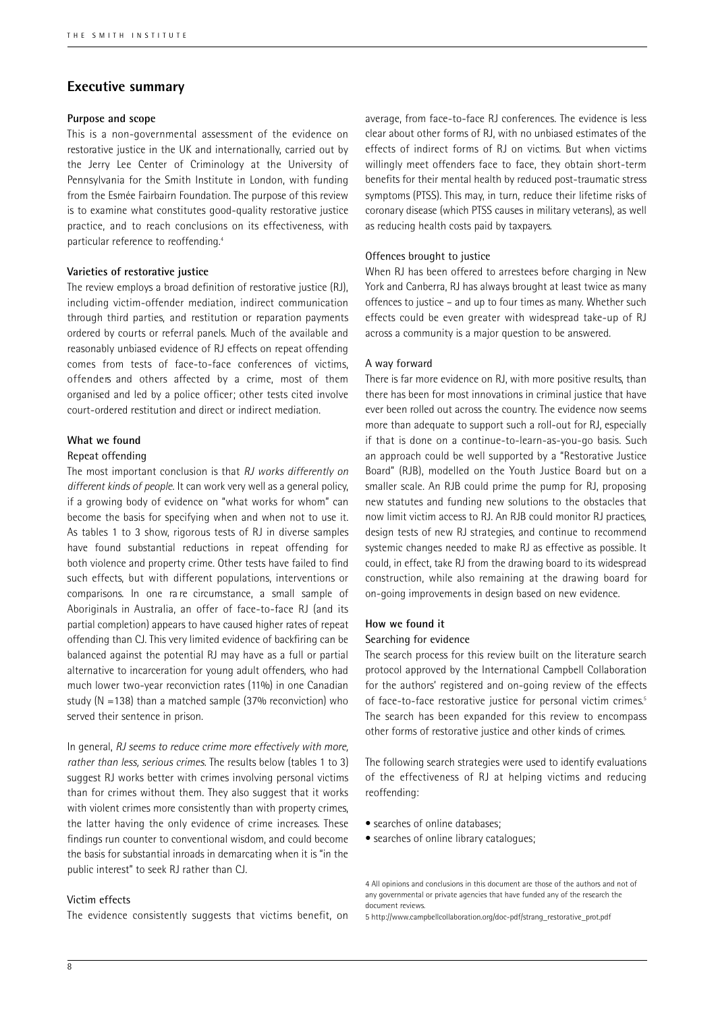## **Executive summary**

### **Purpose and scope**

This is a non-governmental assessment of the evidence on restorative justice in the UK and internationally, carried out by the Jerry Lee Center of Criminology at the University of Pennsylvania for the Smith Institute in London, with funding from the Esmée Fairbairn Foundation. The purpose of this review is to examine what constitutes good-quality restorative justice practice, and to reach conclusions on its effectiveness, with particular reference to reoffending.<sup>4</sup>

### **Varieties of restorative justice**

The review employs a broad definition of restorative justice (RJ), including victim-offender mediation, indirect communication through third parties, and restitution or reparation payments ordered by courts or referral panels. Much of the available and reasonably unbiased evidence of RJ effects on repeat offending comes from tests of face-to-face conferences of victims, offenders and others affected by a crime, most of them organised and led by a police officer; other tests cited involve court-ordered restitution and direct or indirect mediation.

## **What we found**

#### Repeat offending

The most important conclusion is that *RJ works differently on different kinds of people*. It can work very well as a general policy, if a growing body of evidence on "what works for whom" can become the basis for specifying when and when not to use it. As tables 1 to 3 show, rigorous tests of RJ in diverse samples have found substantial reductions in repeat offending for both violence and property crime. Other tests have failed to find such effects, but with different populations, interventions or comparisons. In one rai re circumstance, a small sample of Aboriginals in Australia, an offer of face-to-face RJ (and its partial completion) appears to have caused higher rates of repeat offending than CJ. This very limited evidence of backfiring can be balanced against the potential RJ may have as a full or partial alternative to incarceration for young adult offenders, who had much lower two-year reconviction rates (11%) in one Canadian study (N =138) than a matched sample (37% reconviction) who served their sentence in prison.

In general, *RJ seems to reduce crime more effectively with more, rather than less, serious crimes*. The results below (tables 1 to 3) suggest RJ works better with crimes involving personal victims than for crimes without them. They also suggest that it works with violent crimes more consistently than with property crimes, the latter having the only evidence of crime increases. These findings run counter to conventional wisdom, and could become the basis for substantial inroads in demarcating when it is "in the public interest" to seek RJ rather than CJ.

## Victim effects

The evidence consistently suggests that victims benefit, on

average, from face-to-face RJ conferences. The evidence is less clear about other forms of RJ, with no unbiased estimates of the effects of indirect forms of RJ on victims. But when victims willingly meet offenders face to face, they obtain short-term benefits for their mental health by reduced post-traumatic stress symptoms (PTSS). This may, in turn, reduce their lifetime risks of coronary disease (which PTSS causes in military veterans), as well as reducing health costs paid by taxpayers.

## Offences brought to justice

When RJ has been offered to arrestees before charging in New York and Canberra, RJ has always brought at least twice as many offences to justice – and up to four times as many. Whether such effects could be even greater with widespread take-up of RJ across a community is a major question to be answered.

## A way forward

There is far more evidence on RJ, with more positive results, than there has been for most innovations in criminal justice that have ever been rolled out across the country. The evidence now seems more than adequate to support such a roll-out for RJ, especially if that is done on a continue-to-learn-as-you-go basis. Such an approach could be well supported by a "Restorative Justice Board" (RJB), modelled on the Youth Justice Board but on a smaller scale. An RJB could prime the pump for RJ, proposing new statutes and funding new solutions to the obstacles that now limit victim access to RJ. An RJB could monitor RJ practices, design tests of new RJ strategies, and continue to recommend systemic changes needed to make RJ as effective as possible. It could, in effect, take RJ from the drawing board to its widespread construction, while also remaining at the drawing board for on-going improvements in design based on new evidence.

## **How we found it**

#### Searching for evidence

The search process for this review built on the literature search protocol approved by the International Campbell Collaboration for the authors' registered and on-going review of the effects of face-to-face restorative justice for personal victim crimes.<sup>5</sup> The search has been expanded for this review to encompass other forms of restorative justice and other kinds of crimes.

The following search strategies were used to identify evaluations of the effectiveness of RJ at helping victims and reducing reoffending:

- searches of online databases:
- searches of online library catalogues;

5 http://www.campbellcollaboration.org/doc-pdf/strang\_restorative\_prot.pdf

<sup>4</sup> All opinions and conclusions in this document are those of the authors and not of any governmental or private agencies that have funded any of the research the document reviews.